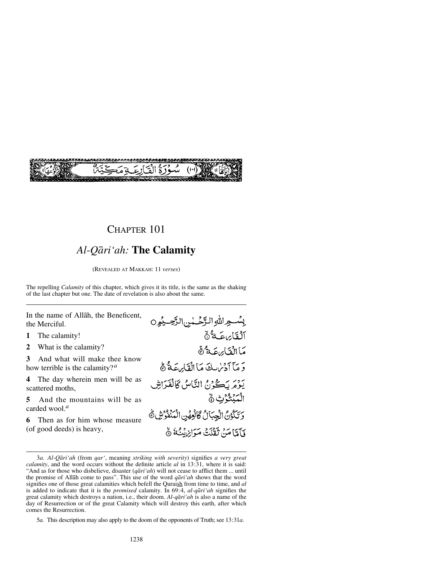

# *Al-Qåri'ah:* **The Calamity**

(REVEALED AT MAKKAH: 11 *verses*)

The repelling *Calamity* of this chapter, which gives it its title, is the same as the shaking of the last chapter but one. The date of revelation is also about the same.

In the name of Allåh, the Beneficent, the Merciful.

- **1** The calamity!
- **2** What is the calamity?

**3** And what will make thee know how terrible is the calamity?*<sup>a</sup>*

**4** The day wherein men will be as scattered moths,

**5** And the mountains will be as carded wool.*<sup>a</sup>*

**6** Then as for him whose measure (of good deeds) is heavy,

بِسْعِ اللهِ الرَّحْسٰنِ الرَّحِيْوِ0 ٱلۡقَارَاعَـةُ ۚ مَاالْقَائِهِ عَهُ ثَمَّ يَهِ مَآ أَدۡسُلِكَ مَاۤ الۡقَابِرِيَّةُ ﴾ يومَرِيَكُونُ النَّاسُ كَالْفَرَاشِ ٱلْمَنْثَوُّتِ ۞ وَتَكُوْنُ الْجِبَالُ كَانُعِهِّنِ الْمَنْفُونِّ هُ وَآَوَّا مَنْ ثَقَلْتُ مَيَوَابِرْنَبُكُمْ ۞

5*a.* This description may also apply to the doom of the opponents of Truth; see 13:31*a*.

<sup>3</sup>*a. Al-Qåri'ah* (from *qar'*, meaning *striking with severity*) signifies *a very great calamity*, and the word occurs without the definite article *al* in 13:31, where it is said: "And as for those who disbelieve, disaster (*qåri'ah*) will not cease to afflict them ... until the promise of Allåh come to pass". This use of the word *qåri'ah* shows that the word signifies one of those great calamities which befell the Quraish from time to time, and *al* is added to indicate that it is the *promised* calamity. In 69:4, *al-qåri'ah* signifies the great calamity which destroys a nation, i.e., their doom. *Al-qåri'ah* is also a name of the day of Resurrection or of the great Calamity which will destroy this earth, after which comes the Resurrection.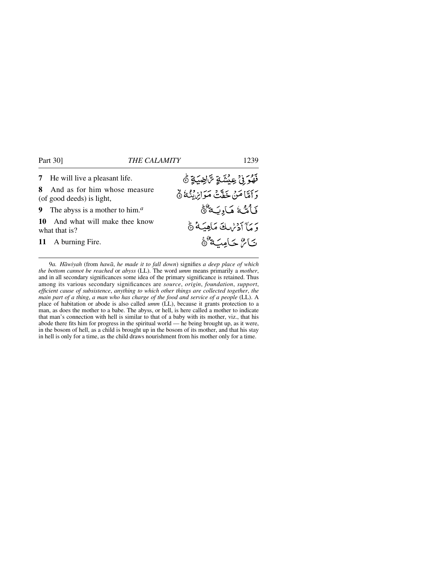**7** He will live a pleasant life.

**8** And as for him whose measure (of good deeds) is light,

**9** The abyss is a mother to him.*<sup>a</sup>*

**10** And what will make thee know what that is?

**11** A burning Fire.

فَهُرَ بِنُ عِيشَةٍ تَرَاضِيَةٍ ۞ رَاَمَّاً مَنْ خَفَّتْ مَوَانِنْ يُنُهُ ۞ فَأَمَّدُ مَادِيَةً هُ وَ مَآ أَدۡرٰالِكَ مَاهِيَـَةُ ۞ تاع حامية هئ

9*a. Håwiyah* (from *hawå*, *he made it to fall down*) signifies *a deep place of which the bottom cannot be reached* or *abyss* (LL). The word *umm* means primarily a *mother*, and in all secondary significances some idea of the primary significance is retained. Thus among its various secondary significances are *source*, *origin*, *foundation*, *support*, *efficient cause of subsistence*, *anything to which other things are collected together*, *the main part of a thing*, *a man who has charge of the food and service of a people* (LL). A place of habitation or abode is also called *umm* (LL), because it grants protection to a man, as does the mother to a babe. The abyss, or hell, is here called a mother to indicate that man's connection with hell is similar to that of a baby with its mother, viz., that his abode there fits him for progress in the spiritual world — he being brought up, as it were, in the bosom of hell, as a child is brought up in the bosom of its mother, and that his stay in hell is only for a time, as the child draws nourishment from his mother only for a time.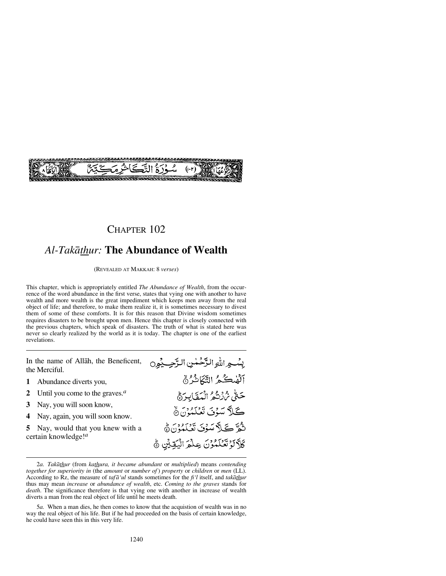

## *Al-Takåthur:* **The Abundance of Wealth**

(REVEALED AT MAKKAH: 8 *verses*)

This chapter, which is appropriately entitled *The Abundance of Wealth*, from the occurrence of the word abundance in the first verse, states that vying one with another to have wealth and more wealth is the great impediment which keeps men away from the real object of life; and therefore, to make them realize it, it is sometimes necessary to divest them of some of these comforts. It is for this reason that Divine wisdom sometimes requires disasters to be brought upon men. Hence this chapter is closely connected with the previous chapters, which speak of disasters. The truth of what is stated here was never so clearly realized by the world as it is today. The chapter is one of the earliest revelations.

بِسْجِ اللَّهِ الزَّحْمٰنِ الزَّحِبِيْوِن In the name of Allåh, the Beneficent, the Merciful. آلفحكمُ التَّكَاثُرُ ﴾ **1** Abundance diverts you, حَتَّى يُرْزِعْهُ الْمَقَابِرَةُ **2** Until you come to the graves.*<sup>a</sup>* **3** Nay, you will soon know, كَلاَّ سَوْنَ نَعْلَمُوْنَ هَ **4** Nay, again, you will soon know. تْكُوَّ كَيْلاً سَوْنَ تَعْبَدُونَ هَ **5** Nay, would that you knew with a certain knowledge!*<sup>a</sup>* كَلَّالَوْتَعْلَمُوْنَ عِلْمَ الْيُقِيِّنِ ﴾

2*a. Takåthur* (from *kathura, it became abundant* or *multiplied*) means *contending together for superiority in* (the *amount* or *number of* ) *property* or *children* or *men* (LL). According to Rz, the measure of *tafå'ul* stands sometimes for the *fi'l* itself, and *takåthur* thus may mean *increase* or *abundance of wealth*, etc. *Coming to the graves* stands for *death*. The significance therefore is that vying one with another in increase of wealth diverts a man from the real object of life until he meets death.

5*a.* When a man dies, he then comes to know that the acquistion of wealth was in no way the real object of his life. But if he had proceeded on the basis of certain knowledge, he could have seen this in this very life.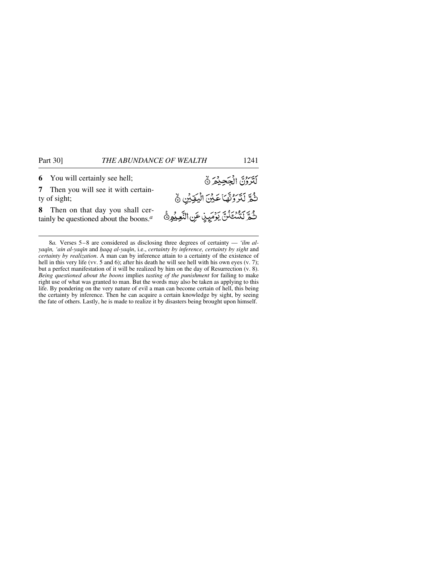**6** You will certainly see hell;

**7** Then you will see it with certainty of sight;

**8** Then on that day you shall certainly be questioned about the boons.*<sup>a</sup>*

8*a.* Verses 5–8 are considered as disclosing three degrees of certainty — *'ilm alyaqßn, 'ain al-yaqßn* and *√aqq al-yaqßn*, i.e., *certainty by inference, certainty by sight* and *certainty by realization*. A man can by inference attain to a certainty of the existence of hell in this very life (vv. 5 and 6); after his death he will see hell with his own eyes (v. 7); but a perfect manifestation of it will be realized by him on the day of Resurrection (v. 8). *Being questioned about the boons* implies *tasting of the punishment* for failing to make right use of what was granted to man. But the words may also be taken as applying to this life. By pondering on the very nature of evil a man can become certain of hell, this being the certainty by inference. Then he can acquire a certain knowledge by sight, by seeing the fate of others. Lastly, he is made to realize it by disasters being brought upon himself.

لَتَرَرُنَّ الْجَحِيْمَ نَّ

ثُمَّ لَتَرَوُّثَّهَا عَيْنَ الْيَقِيْنِ ﴾

ثُهَّ كَيْسْتَلَنَّ كَوْمَيْدْ عَنِ النَّعِيْهِ هُمَّ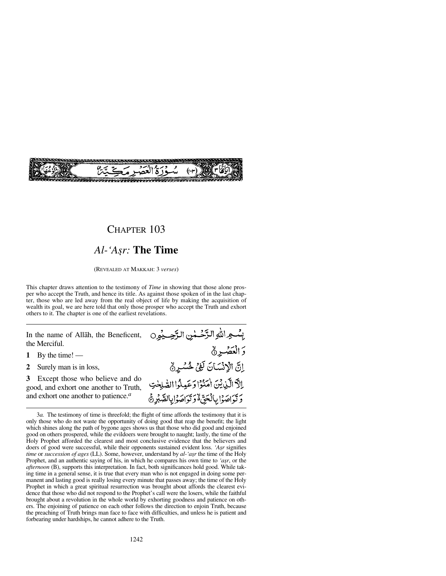

## *Al-'A©r:* **The Time**

(REVEALED AT MAKKAH: 3 *verses*)

This chapter draws attention to the testimony of *Time* in showing that those alone prosper who accept the Truth, and hence its title. As against those spoken of in the last chapter, those who are led away from the real object of life by making the acquisition of wealth its goal, we are here told that only those prosper who accept the Truth and exhort others to it. The chapter is one of the earliest revelations.

In the name of Allåh, the Beneficent, the Merciful.

**1** By the time! —

**2** Surely man is in loss,

**3** Except those who believe and do good, and exhort one another to Truth, and exhort one another to patience.*a*

| بِسُّعِ اللهِ الرَّحْمٰنِ الرَّحِيْوِ0           |  |
|--------------------------------------------------|--|
| وَالْعَصْرِ۞                                     |  |
| إِنَّ الْإِنْسَانَ لَغِيْ خُسْرِ                 |  |
| الَّ الَّذِيْنَ اٰمَنُوْا وَعَيِلُوا الصَّلِحْتِ |  |
| <i>ۮ</i> ؾؙٳڝؘۯٳۑٲڷڂۣڽۨٞۮٚۯڐڗٳڝؘۯٳۑؚۣٵڵڞڹڔۿ      |  |

<sup>3</sup>*a.* The testimony of time is threefold; the flight of time affords the testimony that it is only those who do not waste the opportunity of doing good that reap the benefit; the light which shines along the path of bygone ages shows us that those who did good and enjoined good on others prospered, while the evildoers were brought to naught; lastly, the time of the Holy Prophet afforded the clearest and most conclusive evidence that the believers and doers of good were successful, while their opponents sustained evident loss. 'Asr signifies *time* or *succession of ages* (LL). Some, however, understand by *al-'asr* the time of the Holy Prophet, and an authentic saying of his, in which he compares his own time to *'asy*, or the *afternoon* (B), supports this interpretation. In fact, both significances hold good. While taking time in a general sense, it is true that every man who is not engaged in doing some permanent and lasting good is really losing every minute that passes away; the time of the Holy Prophet in which a great spiritual resurrection was brought about affords the clearest evidence that those who did not respond to the Prophet's call were the losers, while the faithful brought about a revolution in the whole world by exhorting goodness and patience on others. The enjoining of patience on each other follows the direction to enjoin Truth, because the preaching of Truth brings man face to face with difficulties, and unless he is patient and forbearing under hardships, he cannot adhere to the Truth.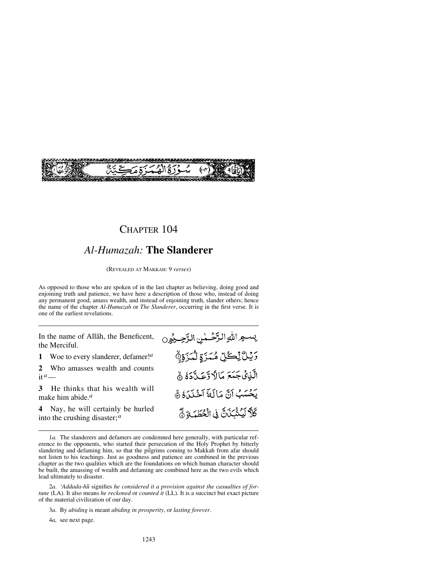

### *Al-Humazah:* **The Slanderer**

(REVEALED AT MAKKAH: 9 *verses*)

As opposed to those who are spoken of in the last chapter as believing, doing good and enjoining truth and patience, we have here a description of those who, instead of doing any permanent good, amass wealth, and instead of enjoining truth, slander others; hence the name of the chapter *Al-Humazah* or *The Slanderer*, occurring in the first verse. It is one of the earliest revelations.

In the name of Allåh, the Beneficent, the Merciful.

**1** Woe to every slanderer, defamer!*<sup>a</sup>*

**2** Who amasses wealth and counts it  $a$ —

**3** He thinks that his wealth will make him abide.*<sup>a</sup>*

**4** Nay, he will certainly be hurled into the crushing disaster;*<sup>a</sup>*

يسجرالله الرَّحْمْنِ الرَّحِيْوِنِ وَيْلُ لِّكُلِّ مُمَزَّةٍ لَّمَزَةٍ لَّ الَّذِينَ جَمَعَ مَالاً وَّعَـدَّدَهُ  $\delta$ يَحْسَبُ آنَّ مَالَةَ آخْلَدَهُ ﴾ كَلَّا لَيُنْبَذَنَّ فِى الْخُطَمَةِ نَّ

4*a,* see next page.

<sup>1</sup>*a.* The slanderers and defamers are condemned here generally, with particular reference to the opponents, who started their persecution of the Holy Prophet by bitterly slandering and defaming him, so that the pilgrims coming to Makkah from afar should not listen to his teachings. Just as goodness and patience are combined in the previous chapter as the two qualities which are the foundations on which human character should be built, the amassing of wealth and defaming are combined here as the two evils which lead ultimately to disaster.

<sup>2</sup>*a. 'Addada-h∂* signifies *he considered it a provision against the casualties of fortune* (LA). It also means *he reckoned* or *counted it* (LL). It is a succinct but exact picture of the material civilization of our day.

<sup>3</sup>*a.* By *abiding* is meant *abiding in prosperity*, or *lasting forever*.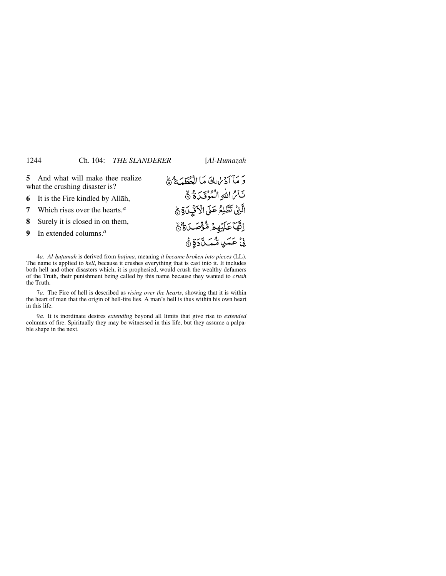| 5 And what will make thee realize<br>what the crushing disaster is? | وَ مَآآدُ لِهَا فَالْخَطَبَةُ ﴾                   |
|---------------------------------------------------------------------|---------------------------------------------------|
| <b>6</b> It is the Fire kindled by Allah,                           | نَائِ اللَّهِ الْمُؤْقَىٰ ةُ ﴾                    |
| 7 Which rises over the hearts. $a$                                  | الَّتِيَّ تَطَّلِعُ عَلَى الْأَنِّي لَاَةِ جَ     |
| 8 Surely it is closed in on them,                                   | اِنَّهَا عَلَيْهِمْ شُؤْصَـٰدَةٌ وَ               |
| 9 In extended columns. $a$                                          | نِيَّ عَمَـٰدٍ <sub>م</sub> ُّمَـُـدَّةٍ وَ صَحَّ |

4*a. Al-√u∆amah* is derived from *√a∆ima*, meaning *it became broken into pieces* (LL). The name is applied to *hell*, because it crushes everything that is cast into it. It includes both hell and other disasters which, it is prophesied, would crush the wealthy defamers of the Truth, their punishment being called by this name because they wanted to *crush* the Truth.

7*a.* The Fire of hell is described as *rising over the hearts*, showing that it is within the heart of man that the origin of hell-fire lies. A man's hell is thus within his own heart in this life.

9*a.* It is inordinate desires *extending* beyond all limits that give rise to *extended* columns of fire. Spiritually they may be witnessed in this life, but they assume a palpable shape in the next.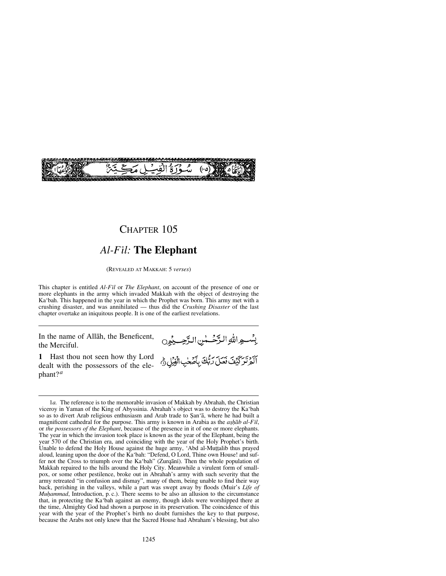

### *Al-Fßl:* **The Elephant**

(REVEALED AT MAKKAH: 5 *verses*)

This chapter is entitled *Al-Fßl* or *The Elephant*, on account of the presence of one or more elephants in the army which invaded Makkah with the object of destroying the Ka'bah. This happened in the year in which the Prophet was born. This army met with a crushing disaster, and was annihilated — thus did the *Crushing Disaster* of the last chapter overtake an iniquitous people. It is one of the earliest revelations.

In the name of Allåh, the Beneficent, the Merciful.

بِسْواللهِ الرَّحْسٰنِ الرَّحِيمُوِن

أَكْثَرَ لَيْفَ فَعَلَ رَبُّكَ بِأَصْحٰبِ الْفِيْلِ ثَمّ

**1** Hast thou not seen how thy Lord dealt with the possessors of the elephant?*<sup>a</sup>*

<sup>1</sup>*a.* The reference is to the memorable invasion of Makkah by Abrahah, the Christian viceroy in Yaman of the King of Abyssinia. Abrahah's object was to destroy the Ka'bah so as to divert Arab religious enthusiasm and Arab trade to San'a, where he had built a magnificent cathedral for the purpose. This army is known in Arabia as the *ashab al-Fil*, or *the possessors of the Elephant*, because of the presence in it of one or more elephants. The year in which the invasion took place is known as the year of the Elephant, being the year 570 of the Christian era, and coinciding with the year of the Holy Prophet's birth. Unable to defend the Holy House against the huge army, 'Abd al-Muṭṭalib thus prayed aloud, leaning upon the door of the Ka'bah: "Defend, O Lord, Thine own House! and suffer not the Cross to triumph over the Ka'bah" (Zurqānī). Then the whole population of Makkah repaired to the hills around the Holy City. Meanwhile a virulent form of smallpox, or some other pestilence, broke out in Abrahah's army with such severity that the army retreated "in confusion and dismay", many of them, being unable to find their way back, perishing in the valleys, while a part was swept away by floods (Muir's *Life of Muhammad*, Introduction, p. c.). There seems to be also an allusion to the circumstance that, in protecting the Ka'bah against an enemy, though idols were worshipped there at the time, Almighty God had shown a purpose in its preservation. The coincidence of this year with the year of the Prophet's birth no doubt furnishes the key to that purpose, because the Arabs not only knew that the Sacred House had Abraham's blessing, but also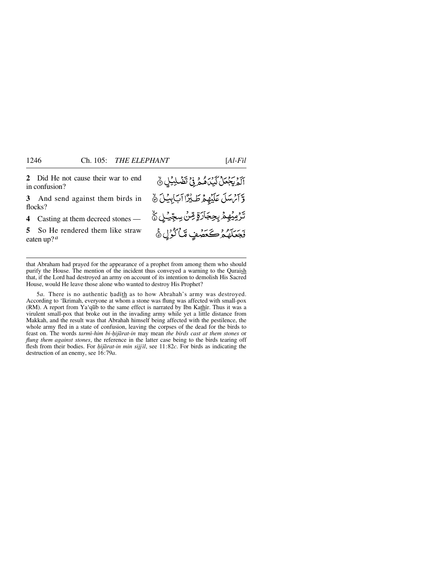**2** Did He not cause their war to end آلهُ بِجِعَلْ كَيْدَاهُهُ فِي تَضْلِيُلِي هُ in confusion? وَّ آَمُ سَلَ عَلَيْهِمْ طَلِّيْزًا آَبَ لِيَكَنَّ ﴾ **3** And send against them birds in flocks? *ڐۯڡۣؽ۠ۿٟۿ*ٛڔؠڿۼٲڒۊٟٙۺٙ۠ڽڛڿؚۨؽڸ۞ٚ **4** Casting at them decreed stones — فَجَعَلَهُمُرْكَحَصُّفٍ مَّاكُرُّلِ ﴾ **5** So He rendered them like straw eaten up? *<sup>a</sup>*

that Abraham had prayed for the appearance of a prophet from among them who should purify the House. The mention of the incident thus conveyed a warning to the Quraish that, if the Lord had destroyed an army on account of its intention to demolish His Sacred House, would He leave those alone who wanted to destroy His Prophet?

5*a*. There is no authentic hadith as to how Abrahah's army was destroyed. According to 'Ikrimah, everyone at whom a stone was flung was affected with small-pox (RM). A report from Ya'qūb to the same effect is narrated by Ibn Kathir. Thus it was a virulent small-pox that broke out in the invading army while yet a little distance from Makkah, and the result was that Abrahah himself being affected with the pestilence, the whole army fled in a state of confusion, leaving the corpses of the dead for the birds to feast on. The words *tarmi-him bi-hijārat-in* may mean *the birds cast at them stones* or *flung them against stones*, the reference in the latter case being to the birds tearing off flesh from their bodies. For *hijārat-in min sijjīl*, see 11:82*c*. For birds as indicating the destruction of an enemy, see 16:79*a*.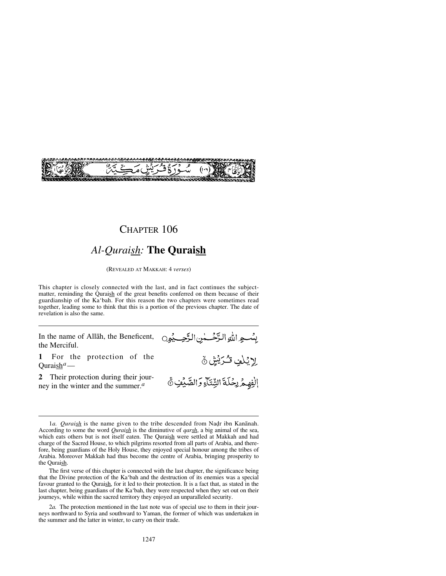

# *Al-Quraish:* **The Quraish**

(REVEALED AT MAKKAH: 4 *verses*)

This chapter is closely connected with the last, and in fact continues the subjectmatter, reminding the Quraish of the great benefits conferred on them because of their guardianship of the Ka'bah. For this reason the two chapters were sometimes read together, leading some to think that this is a portion of the previous chapter. The date of revelation is also the same.

In the name of Allåh, the Beneficent, the Merciful.

بِسْسِهِ اللَّهِ الرَّحْسَسِٰ الرَّحِسِيْمِينِ

.<br>الفِهِمُ رِحُلَةَ الشِّتَآءِ وَالصَّبِيْنِ ﴾

إِرْيُلْفِ تُكْرَيْشٍ نَّ

**1** For the protection of the Quraish*a*—

**2** Their protection during their journey in the winter and the summer.*<sup>a</sup>*

<sup>1</sup>*a. Quraish* is the name given to the tribe descended from Nadr ibn Kanānah. According to some the word *Quraish* is the diminutive of *qarsh*, a big animal of the sea, which eats others but is not itself eaten. The Quraish were settled at Makkah and had charge of the Sacred House, to which pilgrims resorted from all parts of Arabia, and therefore, being guardians of the Holy House, they enjoyed special honour among the tribes of Arabia. Moreover Makkah had thus become the centre of Arabia, bringing prosperity to the Quraish.

The first verse of this chapter is connected with the last chapter, the significance being that the Divine protection of the Ka'bah and the destruction of its enemies was a special favour granted to the Quraish, for it led to their protection. It is a fact that, as stated in the last chapter, being guardians of the Ka'bah, they were respected when they set out on their journeys, while within the sacred territory they enjoyed an unparalleled security.

<sup>2</sup>*a.* The protection mentioned in the last note was of special use to them in their journeys northward to Syria and southward to Yaman, the former of which was undertaken in the summer and the latter in winter, to carry on their trade.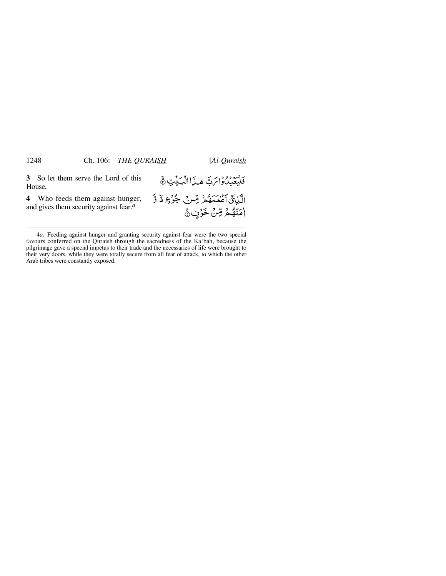**3** So let them serve the Lord of this House,

**4** Who feeds them against hunger, and gives them security against fear.*<sup>a</sup>*

فَلْيَعَبُّلُوَاتَ هَذَا الْبَيْتِ & الَّذِيِّ أَطْعَمَهُمْ مِّنْ جُوْعٍ لَا وَّ امَنَهُمْ مِّنْ خَرْبٍ هُ

<sup>4</sup>*a.* Feeding against hunger and granting security against fear were the two special favours conferred on the Quraish through the sacredness of the Ka'bah, because the pilgrimage gave a special impetus to their trade and the necessaries of life were brought to their very doors, while they were totally secure from all fear of attack, to which the other Arab tribes were constantly exposed.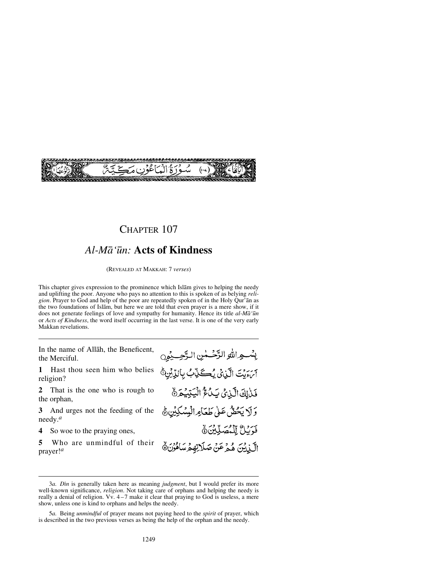

### *Al-Må'∂n:* **Acts of Kindness**

(REVEALED AT MAKKAH: 7 *verses*)

This chapter gives expression to the prominence which Islåm gives to helping the needy and uplifting the poor. Anyone who pays no attention to this is spoken of as belying *religion*. Prayer to God and help of the poor are repeatedly spoken of in the Holy Qur'ån as the two foundations of Islåm, but here we are told that even prayer is a mere show, if it does not generate feelings of love and sympathy for humanity. Hence its title *al-Må'∂n* or *Acts of Kindness*, the word itself occurring in the last verse. It is one of the very early Makkan revelations.

In the name of Allåh, the Beneficent, the Merciful.

**1** Hast thou seen him who belies religion?

**2** That is the one who is rough to the orphan,

**3** And urges not the feeding of the needy.*<sup>a</sup>*

**4** So woe to the praying ones,

**5** Who are unmindful of their prayer!*<sup>a</sup>*

بِسْعِ اللهِ الرَّحْسٰنِ الرَّحِبِيْنِ آنَ بَيْتَ الَّذِيْ يُكَذِّبُ بِالدِّيْنِ ۚ فَذٰلِكَ الَّذِيْ يَدُعُّ الْيَتِيْحَرَهُ وَلَا يَحُصُّ عَلَىٰ طَعَاهِ الْمِسْكِيْنِ ﴾ فَرَيْنٌ لِلْمُصَلِّينَ ﴾ الَّذِينَ هُمْ عَنْ صَلَاتِهِمْ سَاهُوْنَ ٥

<sup>3</sup>*a. Dßn* is generally taken here as meaning *judgment*, but I would prefer its more well-known significance, *religion*. Not taking care of orphans and helping the needy is really a denial of religion. Vv. 4 –7 make it clear that praying to God is useless, a mere show, unless one is kind to orphans and helps the needy.

<sup>5</sup>*a.* Being *unmindful* of prayer means not paying heed to the *spirit* of prayer, which is described in the two previous verses as being the help of the orphan and the needy.